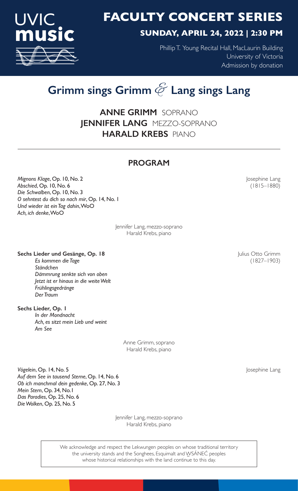

# **SUNDAY, APRIL 24, 2022 | 2:30 PM**

Phillip T. Young Recital Hall, MacLaurin Building University of Victoria Admission by donation

# **Grimm sings Grimm** & **Lang sings Lang**

**ANNE GRIMM** SOPRANO **JENNIFER LANG** MEZZO-SOPRANO **HARALD KREBS** PIANO

# **PROGRAM**

*Mignons Klage*, Op. 10, No. 2 *Mignons Klage*, Op. 10, No. 2 *Abschied*, Op. 10, No. 6 (1815–1880) *Die Schwalben*, Op. 10, No. 3 *O sehntest du dich so nach mir*, Op. 14, No. 1 *Und wieder ist ein Tag dahin*, WoO *Ach, ich denke*, WoO

> Jennifer Lang, mezzo-soprano Harald Krebs, piano

# **Sechs Lieder und Gesänge, Op. 18 Julius Otto Grimm**

*Es kommen die Tage* (1827–1903) *Ständchen Dämmrung senkte sich von oben Jetzt ist er hinaus in die weite Welt Frühlingsgedränge Der Traum*

**Sechs Lieder, Op. 1** *In der Mondnacht Ach, es sitzt mein Lieb und weint Am See*

> Anne Grimm, soprano Harald Krebs, piano

**Vögelein, Op. 14, No. 5** Josephine Lang *Auf dem See in tausend Sterne*, Op. 14, No. 6 *Ob ich manchmal dein gedenke*, Op. 27, No. 3 *Mein Stern*, Op. 34, No.1 *Das Paradies*, Op. 25, No. 6 *Die Wolken*, Op. 25, No. 5

> Jennifer Lang, mezzo-soprano Harald Krebs, piano

We acknowledge and respect the Lekwungen peoples on whose traditional territory the university stands and the Songhees, Esquimalt and WSÁNEĆ peoples whose historical relationships with the land continue to this day.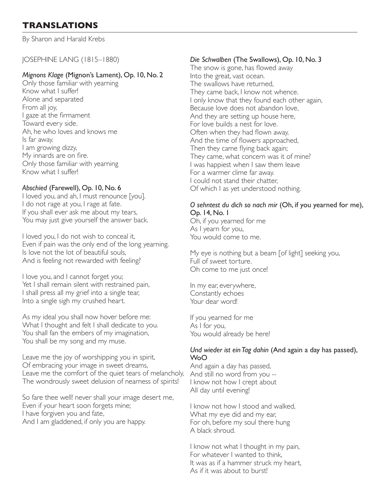# **TRANSLATIONS**

By Sharon and Harald Krebs

JOSEPHINE LANG (1815–1880)

#### *Mignons Klage* (Mignon's Lament), Op. 10, No. 2

Only those familiar with yearning Know what I suffer! Alone and separated From all joy, I gaze at the firmament Toward every side. Ah, he who loves and knows me Is far away. I am growing dizzy, My innards are on fire. Only those familiar with yearning Know what I suffer!

#### *Abschied* (Farewell), Op. 10, No. 6

I loved you, and ah, I must renounce [you]. I do not rage at you, I rage at fate. If you shall ever ask me about my tears, You may just give yourself the answer back.

I loved you, I do not wish to conceal it, Even if pain was the only end of the long yearning. Is love not the lot of beautiful souls, And is feeling not rewarded with feeling?

I love you, and I cannot forget you; Yet I shall remain silent with restrained pain, I shall press all my grief into a single tear, Into a single sigh my crushed heart.

As my ideal you shall now hover before me: What I thought and felt I shall dedicate to you. You shall fan the embers of my imagination, You shall be my song and my muse.

Leave me the joy of worshipping you in spirit, Of embracing your image in sweet dreams, Leave me the comfort of the quiet tears of melancholy, The wondrously sweet delusion of nearness of spirits!

So fare thee well! never shall your image desert me, Even if your heart soon forgets mine; I have forgiven you and fate, And I am gladdened, if only you are happy.

#### *Die Schwalben* (The Swallows), Op. 10, No. 3

The snow is gone, has flowed away Into the great, vast ocean. The swallows have returned, They came back, I know not whence. I only know that they found each other again, Because love does not abandon love, And they are setting up house here, For love builds a nest for love. Often when they had flown away, And the time of flowers approached, Then they came flying back again; They came, what concern was it of mine? I was happiest when I saw them leave For a warmer clime far away. I could not stand their chatter, Of which I as yet understood nothing.

#### *O sehntest du dich so nach mir* (Oh, if you yearned for me), Op. 14, No. 1

Oh, if you yearned for me As I yearn for you, You would come to me.

My eye is nothing but a beam [of light] seeking you, Full of sweet torture. Oh come to me just once!

In my ear, everywhere, Constantly echoes Your dear word!

If you yearned for me As I for you, You would already be here!

#### *Und wieder ist ein Tag dahin* (And again a day has passed), WoO

And again a day has passed, And still no word from you -- I know not how I crept about All day until evening!

I know not how I stood and walked, What my eye did and my ear, For oh, before my soul there hung A black shroud.

I know not what I thought in my pain, For whatever I wanted to think, It was as if a hammer struck my heart, As if it was about to burst!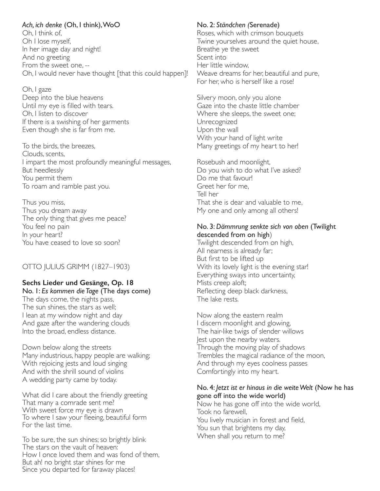*Ach, ich denke* (Oh, I think), WoO Oh, I think of, Oh I lose myself, In her image day and night! And no greeting From the sweet one, -- Oh, I would never have thought [that this could happen]!

Oh, I gaze Deep into the blue heavens Until my eye is filled with tears. Oh, I listen to discover If there is a swishing of her garments Even though she is far from me.

To the birds, the breezes, Clouds, scents, I impart the most profoundly meaningful messages, But heedlessly You permit them To roam and ramble past you.

Thus you miss, Thus you dream away The only thing that gives me peace? You feel no pain In your heart? You have ceased to love so soon?

#### OTTO JULIUS GRIMM (1827–1903)

### **Sechs Lieder und Gesänge, Op. 18**

No. 1: *Es kommen die Tage* (The days come) The days come, the nights pass, The sun shines, the stars as well; I lean at my window night and day And gaze after the wandering clouds Into the broad, endless distance.

Down below along the streets Many industrious, happy people are walking; With rejoicing jests and loud singing And with the shrill sound of violins A wedding party came by today.

What did I care about the friendly greeting That many a comrade sent me? With sweet force my eye is drawn To where I saw your fleeing, beautiful form For the last time.

To be sure, the sun shines; so brightly blink The stars on the vault of heaven: How I once loved them and was fond of them, But ah! no bright star shines for me Since you departed for faraway places!

#### No. 2: *Ständchen (*Serenade)

Roses, which with crimson bouquets Twine yourselves around the quiet house, Breathe ye the sweet Scent into Her little window, Weave dreams for her, beautiful and pure, For her, who is herself like a rose!

Silvery moon, only you alone Gaze into the chaste little chamber Where she sleeps, the sweet one; Unrecognized Upon the wall With your hand of light write Many greetings of my heart to her!

Rosebush and moonlight, Do you wish to do what I've asked? Do me that favour! Greet her for me, Tell her That she is dear and valuable to me, My one and only among all others!

#### No. 3: *Dämmrung senkte sich von oben* (Twilight descended from on high)

Twilight descended from on high, All nearness is already far; But first to be lifted up With its lovely light is the evening star! Everything sways into uncertainty, Mists creep aloft; Reflecting deep black darkness, The lake rests.

Now along the eastern realm I discern moonlight and glowing, The hair-like twigs of slender willows Jest upon the nearby waters. Through the moving play of shadows Trembles the magical radiance of the moon, And through my eyes coolness passes Comfortingly into my heart.

#### No. 4: *Jetzt ist er hinaus in die weite Welt* (Now he has gone off into the wide world)

Now he has gone off into the wide world, Took no farewell, You lively musician in forest and field, You sun that brightens my day, When shall you return to me?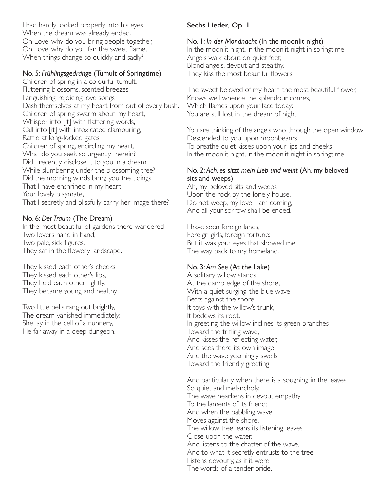I had hardly looked properly into his eyes When the dream was already ended. Oh Love, why do you bring people together, Oh Love, why do you fan the sweet flame, When things change so quickly and sadly?

#### No. 5: *Frühlingsgedränge* (Tumult of Springtime)

Children of spring in a colourful tumult, Fluttering blossoms, scented breezes, Languishing, rejoicing love songs Dash themselves at my heart from out of every bush. Children of spring swarm about my heart, Whisper into [it] with flattering words, Call into [it] with intoxicated clamouring, Rattle at long-locked gates. Children of spring, encircling my heart, What do you seek so urgently therein? Did I recently disclose it to you in a dream, While slumbering under the blossoming tree? Did the morning winds bring you the tidings That I have enshrined in my heart Your lovely playmate, That I secretly and blissfully carry her image there?

#### No. 6: *Der Traum* (The Dream)

In the most beautiful of gardens there wandered Two lovers hand in hand, Two pale, sick figures, They sat in the flowery landscape.

They kissed each other's cheeks, They kissed each other's lips, They held each other tightly, They became young and healthy.

Two little bells rang out brightly, The dream vanished immediately; She lay in the cell of a nunnery, He far away in a deep dungeon.

#### **Sechs Lieder, Op. 1**

#### No. 1: *In der Mondnacht* (In the moonlit night)

In the moonlit night, in the moonlit night in springtime, Angels walk about on quiet feet; Blond angels, devout and stealthy, They kiss the most beautiful flowers.

The sweet beloved of my heart, the most beautiful flower, Knows well whence the splendour comes, Which flames upon your face today: You are still lost in the dream of night.

You are thinking of the angels who through the open window Descended to you upon moonbeams To breathe quiet kisses upon your lips and cheeks In the moonlit night, in the moonlit night in springtime.

#### No. 2: *Ach, es sitzt mein Lieb und weint* (Ah, my beloved sits and weeps)

Ah, my beloved sits and weeps Upon the rock by the lonely house, Do not weep, my love, I am coming, And all your sorrow shall be ended.

I have seen foreign lands, Foreign girls, foreign fortune: But it was your eyes that showed me The way back to my homeland.

#### No. 3: *Am See* (At the Lake)

A solitary willow stands At the damp edge of the shore, With a quiet surging, the blue wave Beats against the shore; It toys with the willow's trunk, It bedews its root. In greeting, the willow inclines its green branches Toward the trifling wave, And kisses the reflecting water, And sees there its own image, And the wave yearningly swells Toward the friendly greeting.

And particularly when there is a soughing in the leaves, So quiet and melancholy, The wave hearkens in devout empathy To the laments of its friend; And when the babbling wave Moves against the shore, The willow tree leans its listening leaves Close upon the water, And listens to the chatter of the wave, And to what it secretly entrusts to the tree -- Listens devoutly, as if it were The words of a tender bride.